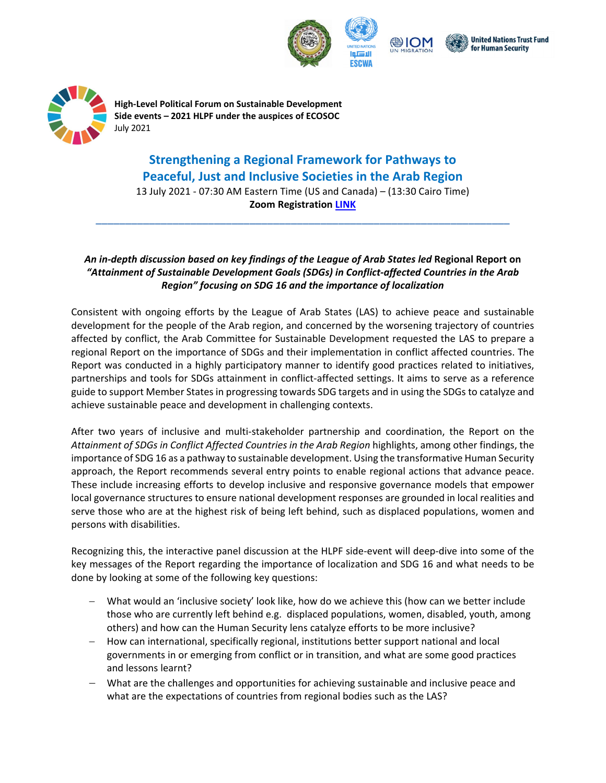







**High‐Level Political Forum on Sustainable Development Side events – 2021 HLPF under the auspices of ECOSOC** July 2021

## **Strengthening a Regional Framework for Pathways to Peaceful, Just and Inclusive Societies in the Arab Region**

13 July 2021 ‐ 07:30 AM Eastern Time (US and Canada) – (13:30 Cairo Time) **Zoom Registration LINK**

**\_\_\_\_\_\_\_\_\_\_\_\_\_\_\_\_\_\_\_\_\_\_\_\_\_\_\_\_\_\_\_\_\_\_\_\_\_\_\_\_\_\_\_\_\_\_\_\_\_\_\_\_\_\_\_\_\_\_\_\_\_\_\_\_\_\_\_\_\_\_**

## An in-depth discussion based on key findings of the League of Arab States led Regional Report on *"Attainment of Sustainable Development Goals (SDGs) in Conflict‐affected Countries in the Arab Region" focusing on SDG 16 and the importance of localization*

Consistent with ongoing efforts by the League of Arab States (LAS) to achieve peace and sustainable development for the people of the Arab region, and concerned by the worsening trajectory of countries affected by conflict, the Arab Committee for Sustainable Development requested the LAS to prepare a regional Report on the importance of SDGs and their implementation in conflict affected countries. The Report was conducted in a highly participatory manner to identify good practices related to initiatives, partnerships and tools for SDGs attainment in conflict‐affected settings. It aims to serve as a reference guide to support Member Statesin progressing towards SDG targets and in using the SDGs to catalyze and achieve sustainable peace and development in challenging contexts.

After two years of inclusive and multi‐stakeholder partnership and coordination, the Report on the *Attainment of SDGs in Conflict Affected Countries in the Arab Region* highlights, among other findings, the importance of SDG 16 as a pathway to sustainable development. Using the transformative Human Security approach, the Report recommends several entry points to enable regional actions that advance peace. These include increasing efforts to develop inclusive and responsive governance models that empower local governance structures to ensure national development responses are grounded in local realities and serve those who are at the highest risk of being left behind, such as displaced populations, women and persons with disabilities.

Recognizing this, the interactive panel discussion at the HLPF side-event will deep-dive into some of the key messages of the Report regarding the importance of localization and SDG 16 and what needs to be done by looking at some of the following key questions:

- What would an 'inclusive society' look like, how do we achieve this (how can we better include those who are currently left behind e.g. displaced populations, women, disabled, youth, among others) and how can the Human Security lens catalyze efforts to be more inclusive?
- How can international, specifically regional, institutions better support national and local governments in or emerging from conflict or in transition, and what are some good practices and lessons learnt?
- What are the challenges and opportunities for achieving sustainable and inclusive peace and what are the expectations of countries from regional bodies such as the LAS?